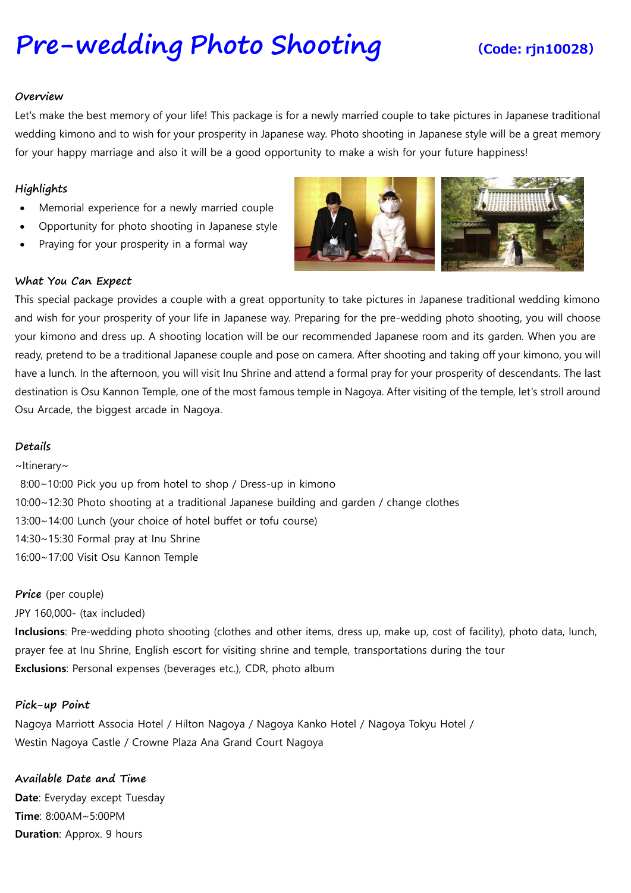# **[Pre-wedding](https://www.viator.com/tours/Nagoya/Japanese-Food-Sample-Making-in-Nagoya/d4701-27453P15) Photo Shooting (Code: rjn10028)**

#### **Overview**

Let's make the best memory of your life! This package is for a newly married couple to take pictures in Japanese traditional wedding kimono and to wish for your prosperity in Japanese way. Photo shooting in Japanese style will be a great memory for your happy marriage and also it will be a good opportunity to make a wish for your future happiness!

### **Highlights**

- Memorial experience for a newly married couple
- Opportunity for photo shooting in Japanese style
- Praying for your prosperity in a formal way



#### **What You Can Expect**

This special package provides a couple with a great opportunity to take pictures in Japanese traditional wedding kimono and wish for your prosperity of your life in Japanese way. Preparing for the pre-wedding photo shooting, you will choose your kimono and dress up. A shooting location will be our recommended Japanese room and its garden. When you are ready, pretend to be a traditional Japanese couple and pose on camera. After shooting and taking off your kimono, you will have a lunch. In the afternoon, you will visit Inu Shrine and attend a formal pray for your prosperity of descendants. The last destination is Osu Kannon Temple, one of the most famous temple in Nagoya. After visiting of the temple, let's stroll around Osu Arcade, the biggest arcade in Nagoya.

#### **Details**

~Itinerary~ 8:00~10:00 Pick you up from hotel to shop / Dress-up in kimono 10:00~12:30 Photo shooting at a traditional Japanese building and garden / change clothes 13:00~14:00 Lunch (your choice of hotel buffet or tofu course) 14:30~15:30 Formal pray at Inu Shrine 16:00~17:00 Visit Osu Kannon Temple

#### **Price** (per couple)

JPY 160,000- (tax included)

**Inclusions**: Pre-wedding photo shooting (clothes and other items, dress up, make up, cost of facility), photo data, lunch, prayer fee at Inu Shrine, English escort for visiting shrine and temple, transportations during the tour **Exclusions**: Personal expenses (beverages etc.), CDR, photo album

#### **Pick-up Point**

Nagoya Marriott Associa Hotel / Hilton Nagoya / Nagoya Kanko Hotel / Nagoya Tokyu Hotel / Westin Nagoya Castle / Crowne Plaza Ana Grand Court Nagoya

**Available Date and Time Date**: Everyday except Tuesday **Time**: 8:00AM~5:00PM **Duration**: Approx. 9 hours